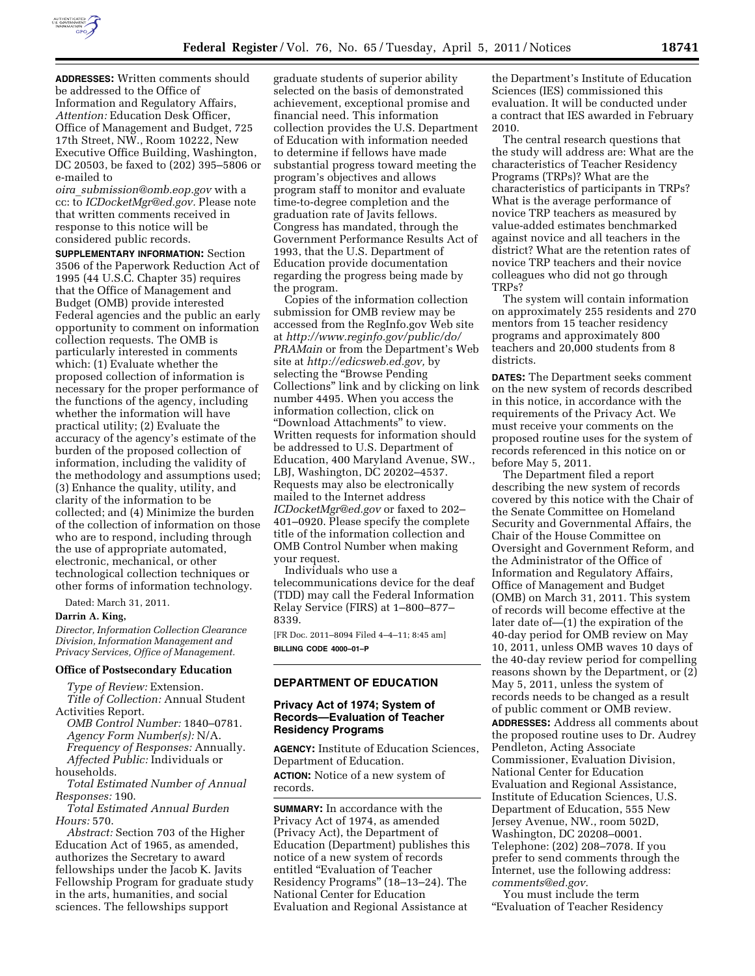

**ADDRESSES:** Written comments should be addressed to the Office of Information and Regulatory Affairs, *Attention:* Education Desk Officer, Office of Management and Budget, 725 17th Street, NW., Room 10222, New Executive Office Building, Washington, DC 20503, be faxed to (202) 395–5806 or e-mailed to

*oira*\_*[submission@omb.eop.gov](mailto:oira_submission@omb.eop.gov)* with a cc: to *[ICDocketMgr@ed.gov.](mailto:ICDocketMgr@ed.gov)* Please note that written comments received in response to this notice will be considered public records.

**SUPPLEMENTARY INFORMATION:** Section 3506 of the Paperwork Reduction Act of 1995 (44 U.S.C. Chapter 35) requires that the Office of Management and Budget (OMB) provide interested Federal agencies and the public an early opportunity to comment on information collection requests. The OMB is particularly interested in comments which: (1) Evaluate whether the proposed collection of information is necessary for the proper performance of the functions of the agency, including whether the information will have practical utility; (2) Evaluate the accuracy of the agency's estimate of the burden of the proposed collection of information, including the validity of the methodology and assumptions used; (3) Enhance the quality, utility, and clarity of the information to be collected; and (4) Minimize the burden of the collection of information on those who are to respond, including through the use of appropriate automated, electronic, mechanical, or other technological collection techniques or other forms of information technology.

Dated: March 31, 2011.

## **Darrin A. King,**

*Director, Information Collection Clearance Division, Information Management and Privacy Services, Office of Management.* 

### **Office of Postsecondary Education**

*Type of Review:* Extension. *Title of Collection:* Annual Student Activities Report.

*OMB Control Number:* 1840–0781. *Agency Form Number(s):* N/A. *Frequency of Responses:* Annually. *Affected Public:* Individuals or households.

*Total Estimated Number of Annual Responses:* 190.

*Total Estimated Annual Burden Hours:* 570.

*Abstract:* Section 703 of the Higher Education Act of 1965, as amended, authorizes the Secretary to award fellowships under the Jacob K. Javits Fellowship Program for graduate study in the arts, humanities, and social sciences. The fellowships support

graduate students of superior ability selected on the basis of demonstrated achievement, exceptional promise and financial need. This information collection provides the U.S. Department of Education with information needed to determine if fellows have made substantial progress toward meeting the program's objectives and allows program staff to monitor and evaluate time-to-degree completion and the graduation rate of Javits fellows. Congress has mandated, through the Government Performance Results Act of 1993, that the U.S. Department of Education provide documentation regarding the progress being made by the program.

Copies of the information collection submission for OMB review may be accessed from the RegInfo.gov Web site at *[http://www.reginfo.gov/public/do/](http://www.reginfo.gov/public/do/PRAMain) [PRAMain](http://www.reginfo.gov/public/do/PRAMain)* or from the Department's Web site at *[http://edicsweb.ed.gov,](http://edicsweb.ed.gov)* by selecting the ''Browse Pending Collections'' link and by clicking on link number 4495. When you access the information collection, click on ''Download Attachments'' to view. Written requests for information should be addressed to U.S. Department of Education, 400 Maryland Avenue, SW., LBJ, Washington, DC 20202–4537. Requests may also be electronically mailed to the Internet address *[ICDocketMgr@ed.gov](mailto:ICDocketMgr@ed.gov)* or faxed to 202– 401–0920. Please specify the complete title of the information collection and OMB Control Number when making your request.

Individuals who use a telecommunications device for the deaf (TDD) may call the Federal Information Relay Service (FIRS) at 1–800–877– 8339.

[FR Doc. 2011–8094 Filed 4–4–11; 8:45 am] **BILLING CODE 4000–01–P** 

# **DEPARTMENT OF EDUCATION**

# **Privacy Act of 1974; System of Records—Evaluation of Teacher Residency Programs**

**AGENCY:** Institute of Education Sciences, Department of Education. **ACTION:** Notice of a new system of records.

**SUMMARY:** In accordance with the Privacy Act of 1974, as amended (Privacy Act), the Department of Education (Department) publishes this notice of a new system of records entitled ''Evaluation of Teacher Residency Programs'' (18–13–24). The National Center for Education Evaluation and Regional Assistance at

the Department's Institute of Education Sciences (IES) commissioned this evaluation. It will be conducted under a contract that IES awarded in February 2010.

The central research questions that the study will address are: What are the characteristics of Teacher Residency Programs (TRPs)? What are the characteristics of participants in TRPs? What is the average performance of novice TRP teachers as measured by value-added estimates benchmarked against novice and all teachers in the district? What are the retention rates of novice TRP teachers and their novice colleagues who did not go through TRPs?

The system will contain information on approximately 255 residents and 270 mentors from 15 teacher residency programs and approximately 800 teachers and 20,000 students from 8 districts.

**DATES:** The Department seeks comment on the new system of records described in this notice, in accordance with the requirements of the Privacy Act. We must receive your comments on the proposed routine uses for the system of records referenced in this notice on or before May 5, 2011.

The Department filed a report describing the new system of records covered by this notice with the Chair of the Senate Committee on Homeland Security and Governmental Affairs, the Chair of the House Committee on Oversight and Government Reform, and the Administrator of the Office of Information and Regulatory Affairs, Office of Management and Budget (OMB) on March 31, 2011. This system of records will become effective at the later date of—(1) the expiration of the 40-day period for OMB review on May 10, 2011, unless OMB waves 10 days of the 40-day review period for compelling reasons shown by the Department, or (2) May 5, 2011, unless the system of records needs to be changed as a result of public comment or OMB review. **ADDRESSES:** Address all comments about the proposed routine uses to Dr. Audrey Pendleton, Acting Associate Commissioner, Evaluation Division, National Center for Education Evaluation and Regional Assistance, Institute of Education Sciences, U.S. Department of Education, 555 New Jersey Avenue, NW., room 502D, Washington, DC 20208–0001. Telephone: (202) 208–7078. If you prefer to send comments through the Internet, use the following address: *[comments@ed.gov.](mailto:comments@ed.gov)* 

You must include the term ''Evaluation of Teacher Residency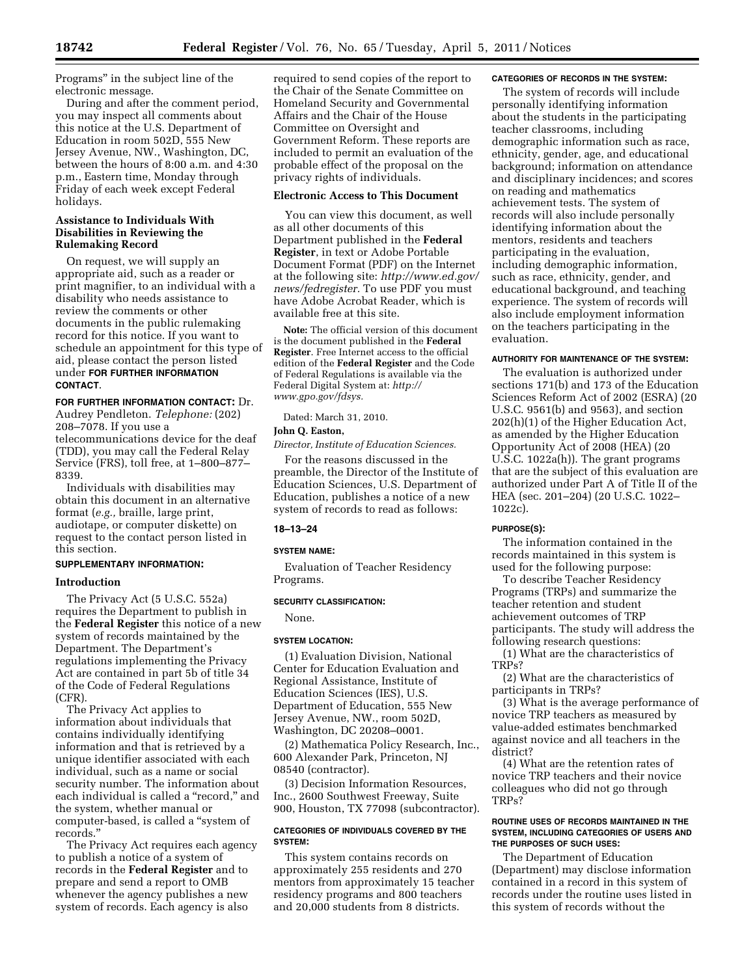Programs'' in the subject line of the electronic message.

During and after the comment period, you may inspect all comments about this notice at the U.S. Department of Education in room 502D, 555 New Jersey Avenue, NW., Washington, DC, between the hours of 8:00 a.m. and 4:30 p.m., Eastern time, Monday through Friday of each week except Federal holidays.

# **Assistance to Individuals With Disabilities in Reviewing the Rulemaking Record**

On request, we will supply an appropriate aid, such as a reader or print magnifier, to an individual with a disability who needs assistance to review the comments or other documents in the public rulemaking record for this notice. If you want to schedule an appointment for this type of aid, please contact the person listed under **FOR FURTHER INFORMATION CONTACT**.

## **FOR FURTHER INFORMATION CONTACT:** Dr.

Audrey Pendleton. *Telephone:* (202) 208–7078. If you use a telecommunications device for the deaf (TDD), you may call the Federal Relay Service (FRS), toll free, at 1–800–877– 8339.

Individuals with disabilities may obtain this document in an alternative format (*e.g.,* braille, large print, audiotape, or computer diskette) on request to the contact person listed in this section.

# **SUPPLEMENTARY INFORMATION:**

## **Introduction**

The Privacy Act (5 U.S.C. 552a) requires the Department to publish in the **Federal Register** this notice of a new system of records maintained by the Department. The Department's regulations implementing the Privacy Act are contained in part 5b of title 34 of the Code of Federal Regulations (CFR).

The Privacy Act applies to information about individuals that contains individually identifying information and that is retrieved by a unique identifier associated with each individual, such as a name or social security number. The information about each individual is called a ''record,'' and the system, whether manual or computer-based, is called a ''system of records.''

The Privacy Act requires each agency to publish a notice of a system of records in the **Federal Register** and to prepare and send a report to OMB whenever the agency publishes a new system of records. Each agency is also

required to send copies of the report to the Chair of the Senate Committee on Homeland Security and Governmental Affairs and the Chair of the House Committee on Oversight and Government Reform. These reports are included to permit an evaluation of the probable effect of the proposal on the privacy rights of individuals.

## **Electronic Access to This Document**

You can view this document, as well as all other documents of this Department published in the **Federal Register**, in text or Adobe Portable Document Format (PDF) on the Internet at the following site: *[http://www.ed.gov/](http://www.ed.gov/news/fedregister) [news/fedregister.](http://www.ed.gov/news/fedregister)* To use PDF you must have Adobe Acrobat Reader, which is available free at this site.

**Note:** The official version of this document is the document published in the **Federal Register**. Free Internet access to the official edition of the **Federal Register** and the Code of Federal Regulations is available via the Federal Digital System at: *[http://](http://www.gpo.gov/fdsys)  [www.gpo.gov/fdsys.](http://www.gpo.gov/fdsys)* 

Dated: March 31, 2010.

### **John Q. Easton,**

*Director, Institute of Education Sciences.* 

For the reasons discussed in the preamble, the Director of the Institute of Education Sciences, U.S. Department of Education, publishes a notice of a new system of records to read as follows:

### **18–13–24**

#### **SYSTEM NAME:**

Evaluation of Teacher Residency Programs.

#### **SECURITY CLASSIFICATION:**

None.

#### **SYSTEM LOCATION:**

(1) Evaluation Division, National Center for Education Evaluation and Regional Assistance, Institute of Education Sciences (IES), U.S. Department of Education, 555 New Jersey Avenue, NW., room 502D, Washington, DC 20208–0001.

(2) Mathematica Policy Research, Inc., 600 Alexander Park, Princeton, NJ 08540 (contractor).

(3) Decision Information Resources, Inc., 2600 Southwest Freeway, Suite 900, Houston, TX 77098 (subcontractor).

# **CATEGORIES OF INDIVIDUALS COVERED BY THE SYSTEM:**

This system contains records on approximately 255 residents and 270 mentors from approximately 15 teacher residency programs and 800 teachers and 20,000 students from 8 districts.

#### **CATEGORIES OF RECORDS IN THE SYSTEM:**

The system of records will include personally identifying information about the students in the participating teacher classrooms, including demographic information such as race, ethnicity, gender, age, and educational background; information on attendance and disciplinary incidences; and scores on reading and mathematics achievement tests. The system of records will also include personally identifying information about the mentors, residents and teachers participating in the evaluation, including demographic information, such as race, ethnicity, gender, and educational background, and teaching experience. The system of records will also include employment information on the teachers participating in the evaluation.

## **AUTHORITY FOR MAINTENANCE OF THE SYSTEM:**

The evaluation is authorized under sections 171(b) and 173 of the Education Sciences Reform Act of 2002 (ESRA) (20 U.S.C. 9561(b) and 9563), and section 202(h)(1) of the Higher Education Act, as amended by the Higher Education Opportunity Act of 2008 (HEA) (20 U.S.C. 1022a(h)). The grant programs that are the subject of this evaluation are authorized under Part A of Title II of the HEA (sec. 201–204) (20 U.S.C. 1022– 1022c).

## **PURPOSE(S):**

The information contained in the records maintained in this system is used for the following purpose:

To describe Teacher Residency Programs (TRPs) and summarize the teacher retention and student achievement outcomes of TRP participants. The study will address the following research questions:

(1) What are the characteristics of TRPs?

(2) What are the characteristics of participants in TRPs?

(3) What is the average performance of novice TRP teachers as measured by value-added estimates benchmarked against novice and all teachers in the district?

(4) What are the retention rates of novice TRP teachers and their novice colleagues who did not go through TRPs?

## **ROUTINE USES OF RECORDS MAINTAINED IN THE SYSTEM, INCLUDING CATEGORIES OF USERS AND THE PURPOSES OF SUCH USES:**

The Department of Education (Department) may disclose information contained in a record in this system of records under the routine uses listed in this system of records without the